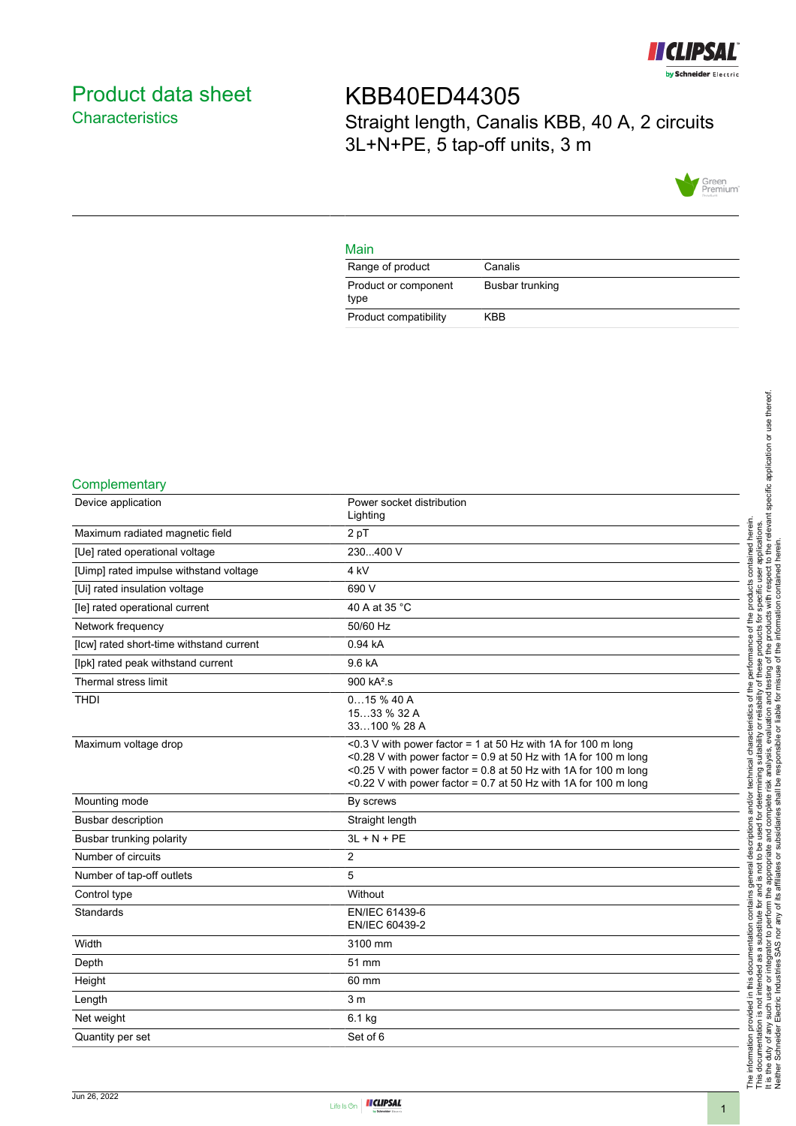

# <span id="page-0-0"></span>Product data sheet **Characteristics**

KBB40ED44305 Straight length, Canalis KBB, 40 A, 2 circuits 3L+N+PE, 5 tap-off units, 3 m



### Main

| Range of product             | Canalis         |
|------------------------------|-----------------|
| Product or component<br>type | Busbar trunking |
| Product compatibility        | KBB             |

#### **Complementary**

| Device application                       | Power socket distribution<br>Lighting                                                                                                                                                                                                                                   |
|------------------------------------------|-------------------------------------------------------------------------------------------------------------------------------------------------------------------------------------------------------------------------------------------------------------------------|
| Maximum radiated magnetic field          | 2 pT                                                                                                                                                                                                                                                                    |
| [Ue] rated operational voltage           | 230400 V                                                                                                                                                                                                                                                                |
| [Uimp] rated impulse withstand voltage   | 4 kV                                                                                                                                                                                                                                                                    |
| [Ui] rated insulation voltage            | 690 V                                                                                                                                                                                                                                                                   |
| [le] rated operational current           | 40 A at 35 °C                                                                                                                                                                                                                                                           |
| Network frequency                        | 50/60 Hz                                                                                                                                                                                                                                                                |
| [lcw] rated short-time withstand current | 0.94 kA                                                                                                                                                                                                                                                                 |
| [lpk] rated peak withstand current       | 9.6 kA                                                                                                                                                                                                                                                                  |
| Thermal stress limit                     | $900 kA^2$ .s                                                                                                                                                                                                                                                           |
| <b>THDI</b>                              | 015%40A<br>1533 % 32 A<br>33100 % 28 A                                                                                                                                                                                                                                  |
| Maximum voltage drop                     | <0.3 V with power factor = 1 at 50 Hz with 1A for 100 m long<br><0.28 V with power factor = $0.9$ at 50 Hz with 1A for 100 m long<br><0.25 V with power factor = 0.8 at 50 Hz with 1A for 100 m long<br><0.22 V with power factor = 0.7 at 50 Hz with 1A for 100 m long |
| Mounting mode                            | By screws                                                                                                                                                                                                                                                               |
| <b>Busbar description</b>                | Straight length                                                                                                                                                                                                                                                         |
| Busbar trunking polarity                 | $3L + N + PE$                                                                                                                                                                                                                                                           |
| Number of circuits                       | $\overline{2}$                                                                                                                                                                                                                                                          |
| Number of tap-off outlets                | 5                                                                                                                                                                                                                                                                       |
| Control type                             | Without                                                                                                                                                                                                                                                                 |
| <b>Standards</b>                         | EN/IEC 61439-6<br>EN/IEC 60439-2                                                                                                                                                                                                                                        |
| Width                                    | 3100 mm                                                                                                                                                                                                                                                                 |
| Depth                                    | 51 mm                                                                                                                                                                                                                                                                   |
| Height                                   | 60 mm                                                                                                                                                                                                                                                                   |
| Length                                   | 3 <sub>m</sub>                                                                                                                                                                                                                                                          |
| Net weight                               | $6.1$ kg                                                                                                                                                                                                                                                                |
| Quantity per set                         | Set of 6                                                                                                                                                                                                                                                                |